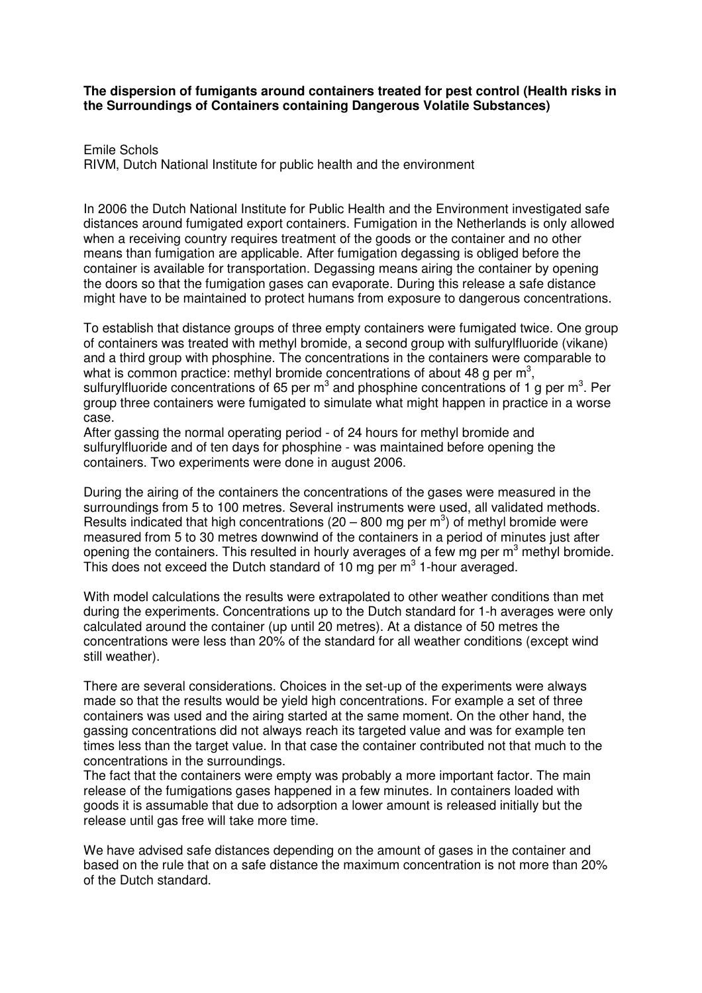**The dispersion of fumigants around containers treated for pest control (Health risks in the Surroundings of Containers containing Dangerous Volatile Substances)** 

Emile Schols RIVM, Dutch National Institute for public health and the environment

In 2006 the Dutch National Institute for Public Health and the Environment investigated safe distances around fumigated export containers. Fumigation in the Netherlands is only allowed when a receiving country requires treatment of the goods or the container and no other means than fumigation are applicable. After fumigation degassing is obliged before the container is available for transportation. Degassing means airing the container by opening the doors so that the fumigation gases can evaporate. During this release a safe distance might have to be maintained to protect humans from exposure to dangerous concentrations.

To establish that distance groups of three empty containers were fumigated twice. One group of containers was treated with methyl bromide, a second group with sulfurylfluoride (vikane) and a third group with phosphine. The concentrations in the containers were comparable to what is common practice: methyl bromide concentrations of about 48 g per  $m^3$ , sulfurylfluoride concentrations of 65 per m<sup>3</sup> and phosphine concentrations of 1 g per m<sup>3</sup>. Per group three containers were fumigated to simulate what might happen in practice in a worse case.

After gassing the normal operating period - of 24 hours for methyl bromide and sulfurylfluoride and of ten days for phosphine - was maintained before opening the containers. Two experiments were done in august 2006.

During the airing of the containers the concentrations of the gases were measured in the surroundings from 5 to 100 metres. Several instruments were used, all validated methods. Results indicated that high concentrations (20 – 800 mg per  $m^3$ ) of methyl bromide were measured from 5 to 30 metres downwind of the containers in a period of minutes just after opening the containers. This resulted in hourly averages of a few mg per  $m<sup>3</sup>$  methyl bromide. This does not exceed the Dutch standard of 10 mg per  $m<sup>3</sup>$  1-hour averaged.

With model calculations the results were extrapolated to other weather conditions than met during the experiments. Concentrations up to the Dutch standard for 1-h averages were only calculated around the container (up until 20 metres). At a distance of 50 metres the concentrations were less than 20% of the standard for all weather conditions (except wind still weather).

There are several considerations. Choices in the set-up of the experiments were always made so that the results would be yield high concentrations. For example a set of three containers was used and the airing started at the same moment. On the other hand, the gassing concentrations did not always reach its targeted value and was for example ten times less than the target value. In that case the container contributed not that much to the concentrations in the surroundings.

The fact that the containers were empty was probably a more important factor. The main release of the fumigations gases happened in a few minutes. In containers loaded with goods it is assumable that due to adsorption a lower amount is released initially but the release until gas free will take more time.

We have advised safe distances depending on the amount of gases in the container and based on the rule that on a safe distance the maximum concentration is not more than 20% of the Dutch standard.